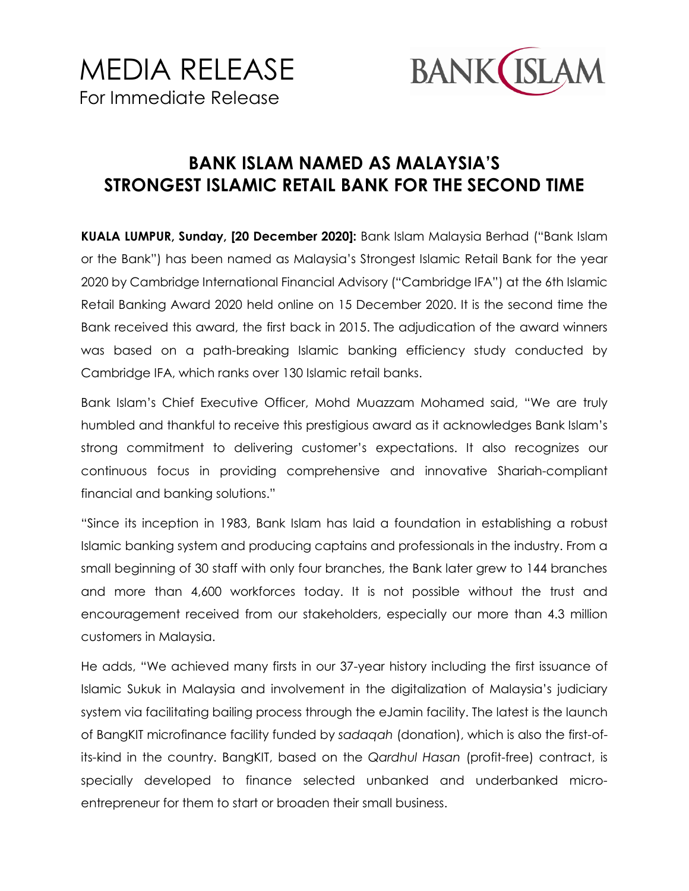

## **BANK ISLAM NAMED AS MALAYSIA'S STRONGEST ISLAMIC RETAIL BANK FOR THE SECOND TIME**

**KUALA LUMPUR, Sunday, [20 December 2020]:** Bank Islam Malaysia Berhad ("Bank Islam or the Bank") has been named as Malaysia's Strongest Islamic Retail Bank for the year 2020 by Cambridge International Financial Advisory ("Cambridge IFA") at the 6th Islamic Retail Banking Award 2020 held online on 15 December 2020. It is the second time the Bank received this award, the first back in 2015. The adjudication of the award winners was based on a path-breaking Islamic banking efficiency study conducted by Cambridge IFA, which ranks over 130 Islamic retail banks.

Bank Islam's Chief Executive Officer, Mohd Muazzam Mohamed said, "We are truly humbled and thankful to receive this prestigious award as it acknowledges Bank Islam's strong commitment to delivering customer's expectations. It also recognizes our continuous focus in providing comprehensive and innovative Shariah-compliant financial and banking solutions."

"Since its inception in 1983, Bank Islam has laid a foundation in establishing a robust Islamic banking system and producing captains and professionals in the industry. From a small beginning of 30 staff with only four branches, the Bank later grew to 144 branches and more than 4,600 workforces today. It is not possible without the trust and encouragement received from our stakeholders, especially our more than 4.3 million customers in Malaysia.

He adds, "We achieved many firsts in our 37-year history including the first issuance of Islamic Sukuk in Malaysia and involvement in the digitalization of Malaysia's judiciary system via facilitating bailing process through the eJamin facility. The latest is the launch of BangKIT microfinance facility funded by *sadaqah* (donation), which is also the first-ofits-kind in the country. BangKIT, based on the *Qardhul Hasan* (profit-free) contract, is specially developed to finance selected unbanked and underbanked microentrepreneur for them to start or broaden their small business.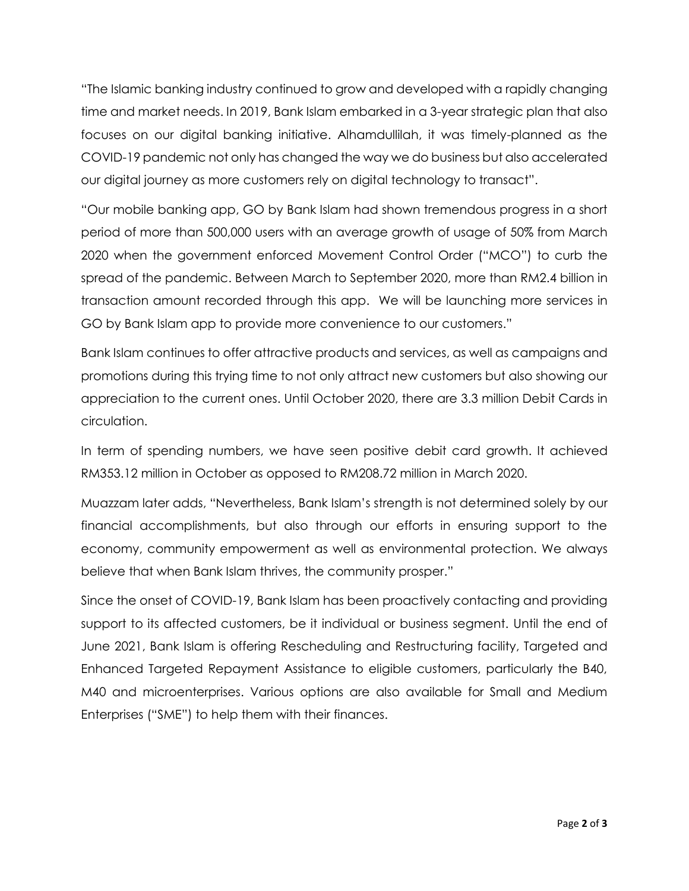"The Islamic banking industry continued to grow and developed with a rapidly changing time and market needs. In 2019, Bank Islam embarked in a 3-year strategic plan that also focuses on our digital banking initiative. Alhamdullilah, it was timely-planned as the COVID-19 pandemic not only has changed the way we do business but also accelerated our digital journey as more customers rely on digital technology to transact".

"Our mobile banking app, GO by Bank Islam had shown tremendous progress in a short period of more than 500,000 users with an average growth of usage of 50% from March 2020 when the government enforced Movement Control Order ("MCO") to curb the spread of the pandemic. Between March to September 2020, more than RM2.4 billion in transaction amount recorded through this app. We will be launching more services in GO by Bank Islam app to provide more convenience to our customers."

Bank Islam continues to offer attractive products and services, as well as campaigns and promotions during this trying time to not only attract new customers but also showing our appreciation to the current ones. Until October 2020, there are 3.3 million Debit Cards in circulation.

In term of spending numbers, we have seen positive debit card growth. It achieved RM353.12 million in October as opposed to RM208.72 million in March 2020.

Muazzam later adds, "Nevertheless, Bank Islam's strength is not determined solely by our financial accomplishments, but also through our efforts in ensuring support to the economy, community empowerment as well as environmental protection. We always believe that when Bank Islam thrives, the community prosper."

Since the onset of COVID-19, Bank Islam has been proactively contacting and providing support to its affected customers, be it individual or business segment. Until the end of June 2021, Bank Islam is offering Rescheduling and Restructuring facility, Targeted and Enhanced Targeted Repayment Assistance to eligible customers, particularly the B40, M40 and microenterprises. Various options are also available for Small and Medium Enterprises ("SME") to help them with their finances.